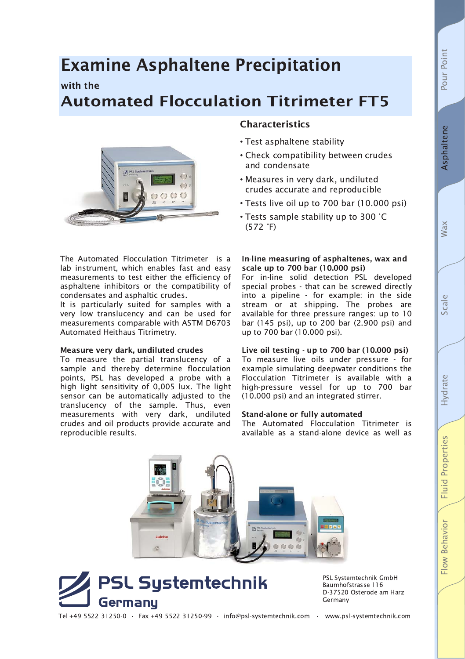**Fluid Properties** 

Flow Behavior

# **Examine Asphaltene Precipitation**

## with the

## **Automated Flocculation Titrimeter FT5**



## **Characteristics**

- Test asphaltene stability
- Check compatibility between crudes and condensate
- Measures in very dark, undiluted crudes accurate and reproducible
- Tests live oil up to 700 bar (10.000 psi)
- Tests sample stability up to 300 °C  $(572 \degree F)$

The Automated Flocculation Titrimeter is a lab instrument, which enables fast and easy measurements to test either the efficiency of asphaltene inhibitors or the compatibility of condensates and asphaltic crudes.

It is particularly suited for samples with a very low translucency and can be used for measurements comparable with ASTM D6703 Automated Heithaus Titrimetry.

### Measure very dark, undiluted crudes

To measure the partial translucency of a sample and thereby determine flocculation points, PSL has developed a probe with a high light sensitivity of 0,005 lux. The light sensor can be automatically adjusted to the translucency of the sample. Thus, even measurements with very dark, undiluted crudes and oil products provide accurate and reproducible results.

#### In-line measuring of asphaltenes, wax and scale up to 700 bar (10.000 psi)

For in-line solid detection PSL developed special probes - that can be screwed directly into a pipeline - for example: in the side stream or at shipping. The probes are available for three pressure ranges: up to 10 bar (145 psi), up to 200 bar (2.900 psi) and up to 700 bar (10.000 psi).

#### Live oil testing - up to 700 bar (10.000 psi)

To measure live oils under pressure - for example simulating deepwater conditions the Flocculation Titrimeter is available with a high-pressure vessel for up to 700 bar (10.000 psi) and an integrated stirrer.

#### **Stand-alone or fully automated**

The Automated Flocculation Titrimeter is available as a stand-alone device as well as





PSL Systemtechnik GmbH Baumhofstrasse 116 D-37520 Osterode am Harz Germany